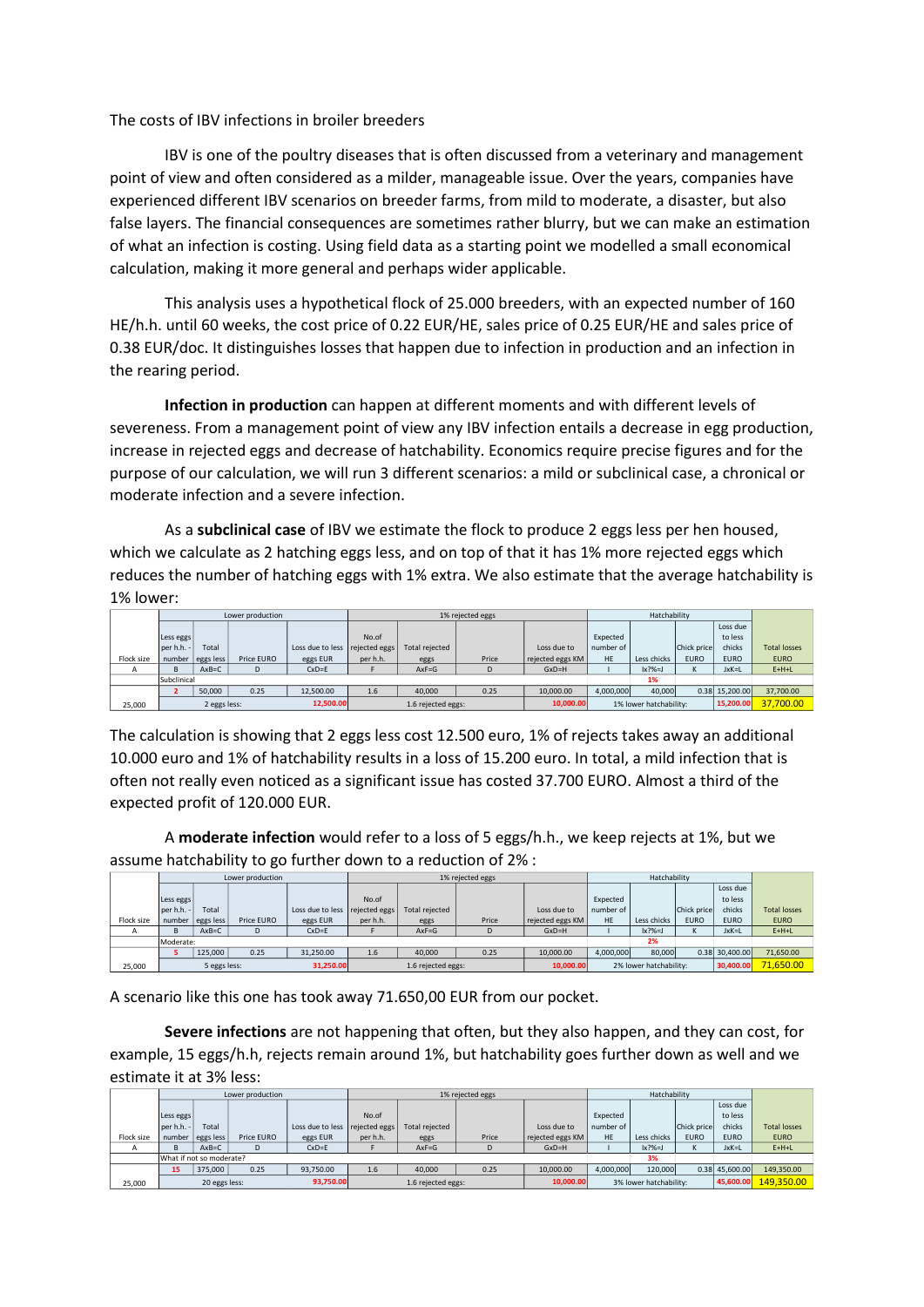The costs of IBV infections in broiler breeders

IBV is one of the poultry diseases that is often discussed from a veterinary and management point of view and often considered as a milder, manageable issue. Over the years, companies have experienced different IBV scenarios on breeder farms, from mild to moderate, a disaster, but also false layers. The financial consequences are sometimes rather blurry, but we can make an estimation of what an infection is costing. Using field data as a starting point we modelled a small economical calculation, making it more general and perhaps wider applicable.

This analysis uses a hypothetical flock of 25.000 breeders, with an expected number of 160 HE/h.h. until 60 weeks, the cost price of 0.22 EUR/HE, sales price of 0.25 EUR/HE and sales price of 0.38 EUR/doc. It distinguishes losses that happen due to infection in production and an infection in the rearing period.

**Infection in production** can happen at different moments and with different levels of severeness. From a management point of view any IBV infection entails a decrease in egg production, increase in rejected eggs and decrease of hatchability. Economics require precise figures and for the purpose of our calculation, we will run 3 different scenarios: a mild or subclinical case, a chronical or moderate infection and a severe infection.

As a **subclinical case** of IBV we estimate the flock to produce 2 eggs less per hen housed, which we calculate as 2 hatching eggs less, and on top of that it has 1% more rejected eggs which reduces the number of hatching eggs with 1% extra. We also estimate that the average hatchability is 1% lower:

|            |                           |                  | Lower production |                  |                                 |                | 1% rejected eggs |                        |           | Hatchability   |             |                |                     |
|------------|---------------------------|------------------|------------------|------------------|---------------------------------|----------------|------------------|------------------------|-----------|----------------|-------------|----------------|---------------------|
|            |                           |                  |                  |                  |                                 |                |                  |                        |           |                |             | Loss due       |                     |
|            | Less eggs                 |                  |                  |                  | No.of                           |                |                  |                        | Expected  |                |             | to less        |                     |
|            | per h.h. -                | Total            |                  | Loss due to less | rejected eggs                   | Total rejected |                  | Loss due to            | number of |                | Chick price | chicks         | <b>Total losses</b> |
| Flock size |                           | number eggs less | Price EURO       | eggs EUR         | per h.h.                        | eggs           | Price            | rejected eggs KM       | <b>HE</b> | Less chicks    | <b>EURO</b> | <b>EURO</b>    | <b>EURO</b>         |
| A          | <sub>B</sub>              | $AxB=C$          |                  | $CxD = E$        |                                 | $AxF = G$      | D                | $GxD=H$                |           | $\vert x?$ %=J |             | JxK=L          | $E+H+L$             |
|            | Subclinical               |                  |                  |                  |                                 |                |                  |                        | 1%        |                |             |                |                     |
|            |                           | 50,000           | 0.25             | 12.500.00        | 1.6                             | 40,000         | 0.25             | 10,000,00              | 4,000,000 | 40,000         |             | 0.38 15.200.00 | 37,700.00           |
| 25,000     | 2 eggs less:<br>12.500.00 |                  |                  |                  | 10.000.00<br>1.6 rejected eggs: |                |                  | 1% lower hatchability: |           |                | 15,200.00   | 37,700.00      |                     |

The calculation is showing that 2 eggs less cost 12.500 euro, 1% of rejects takes away an additional 10.000 euro and 1% of hatchability results in a loss of 15.200 euro. In total, a mild infection that is often not really even noticed as a significant issue has costed 37.700 EURO. Almost a third of the expected profit of 120.000 EUR.

A **moderate infection** would refer to a loss of 5 eggs/h.h., we keep rejects at 1%, but we assume hatchability to go further down to a reduction of 2% :

|            | Lower production          |                  |            |                                 |               |                | 1% rejected eggs       |                  |           | Hatchability   |             |                |                     |
|------------|---------------------------|------------------|------------|---------------------------------|---------------|----------------|------------------------|------------------|-----------|----------------|-------------|----------------|---------------------|
|            |                           |                  |            |                                 |               |                |                        |                  |           |                |             | Loss due       |                     |
|            | Less eggs                 |                  |            |                                 | No.of         |                |                        |                  | Expected  |                |             | to less        |                     |
|            | per h.h. -                | Total            |            | Loss due to less                | rejected eggs | Total rejected |                        | Loss due to      | number of |                | Chick price | chicks         | <b>Total losses</b> |
| Flock size |                           | number eggs less | Price EURO | eggs EUR                        | per h.h.      | eggs           | Price                  | rejected eggs KM | <b>HE</b> | Less chicks    | <b>EURO</b> | <b>EURO</b>    | <b>EURO</b>         |
| A          | <sub>B</sub>              | $AxB=C$          |            | $CxD = E$                       |               | $AxF = G$      | D                      | $GxD=H$          |           | $\vert x?$ %=J |             | JxK=L          | $E+H+L$             |
|            | Moderate:                 |                  |            |                                 |               |                |                        |                  |           | 2%             |             |                |                     |
|            |                           | 125,000          | 0.25       | 31.250.00                       | 1.6           | 40,000         | 0.25                   | 10.000.00        | 4,000,000 | 80,000         |             | 0.38 30.400.00 | 71,650.00           |
| 25,000     | 5 eggs less:<br>31.250.00 |                  |            | 10,000.00<br>1.6 rejected eggs: |               |                | 2% lower hatchability: |                  |           | 30.400.00      | 71.650.00   |                |                     |

A scenario like this one has took away 71.650,00 EUR from our pocket.

**Severe infections** are not happening that often, but they also happen, and they can cost, for example, 15 eggs/h.h, rejects remain around 1%, but hatchability goes further down as well and we estimate it at 3% less:

|              | Lower production           |                  |            |                  |                                 |                | 1% rejected eggs |                        |           | Hatchability   |                   |                |                     |
|--------------|----------------------------|------------------|------------|------------------|---------------------------------|----------------|------------------|------------------------|-----------|----------------|-------------------|----------------|---------------------|
|              |                            |                  |            |                  |                                 |                |                  |                        |           |                |                   | Loss due       |                     |
|              | Less eggs                  |                  |            |                  | No.of                           |                |                  |                        | Expected  |                |                   | to less        |                     |
|              | per h.h. -                 | Total            |            | Loss due to less | rejected eggs                   | Total rejected |                  | Loss due to            | number of |                | Chick price       | chicks         | <b>Total losses</b> |
| Flock size   |                            | number eggs less | Price EURO | eggs EUR         | per h.h.                        | eggs           | Price            | rejected eggs KM       | HE        | Less chicks    | <b>EURO</b>       | <b>EURO</b>    | <b>EURO</b>         |
| $\mathsf{A}$ |                            | $AxB=C$          |            | $CxD = E$        |                                 | $AxF = G$      |                  | $GxD=H$                |           | $\vert x?$ %=J | $\mathbf{v}$<br>ĸ | JxK=L          | $E+H+L$             |
|              | What if not so moderate?   |                  |            |                  |                                 |                |                  |                        |           | 3%             |                   |                |                     |
|              | 15                         | 375,000          | 0.25       | 93.750.00        | 1.6                             | 40,000         | 0.25             | 10,000,00              | 4,000,000 | 120,000        |                   | 0.38 45.600.00 | 149,350.00          |
| 25,000       | 20 eggs less:<br>93,750.00 |                  |            |                  | 10,000.00<br>1.6 rejected eggs: |                |                  | 3% lower hatchability: |           |                | 45,600.00         | 149.350.00     |                     |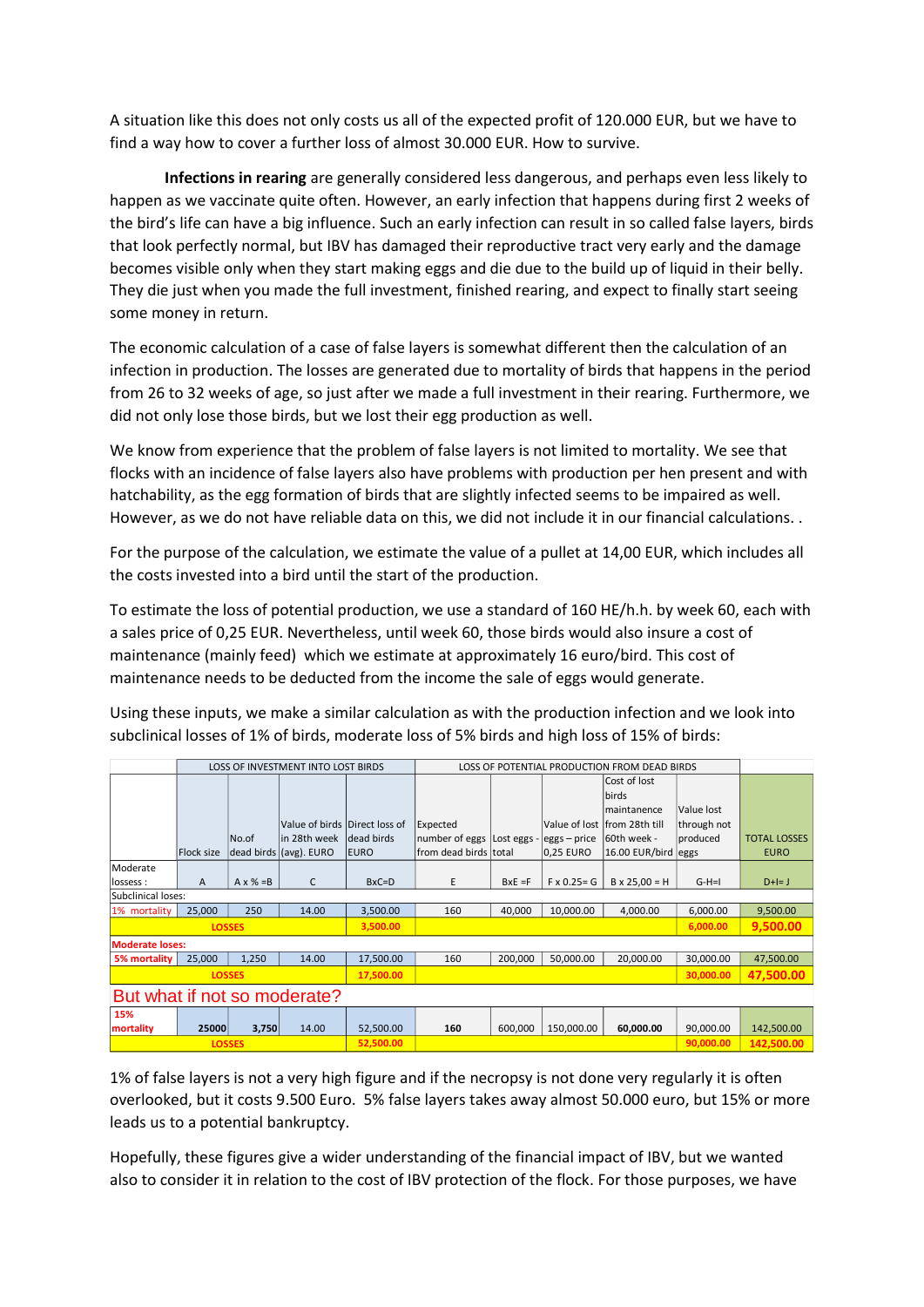A situation like this does not only costs us all of the expected profit of 120.000 EUR, but we have to find a way how to cover a further loss of almost 30.000 EUR. How to survive.

**Infections in rearing** are generally considered less dangerous, and perhaps even less likely to happen as we vaccinate quite often. However, an early infection that happens during first 2 weeks of the bird's life can have a big influence. Such an early infection can result in so called false layers, birds that look perfectly normal, but IBV has damaged their reproductive tract very early and the damage becomes visible only when they start making eggs and die due to the build up of liquid in their belly. They die just when you made the full investment, finished rearing, and expect to finally start seeing some money in return.

The economic calculation of a case of false layers is somewhat different then the calculation of an infection in production. The losses are generated due to mortality of birds that happens in the period from 26 to 32 weeks of age, so just after we made a full investment in their rearing. Furthermore, we did not only lose those birds, but we lost their egg production as well.

We know from experience that the problem of false layers is not limited to mortality. We see that flocks with an incidence of false layers also have problems with production per hen present and with hatchability, as the egg formation of birds that are slightly infected seems to be impaired as well. However, as we do not have reliable data on this, we did not include it in our financial calculations. .

For the purpose of the calculation, we estimate the value of a pullet at 14,00 EUR, which includes all the costs invested into a bird until the start of the production.

To estimate the loss of potential production, we use a standard of 160 HE/h.h. by week 60, each with a sales price of 0,25 EUR. Nevertheless, until week 60, those birds would also insure a cost of maintenance (mainly feed) which we estimate at approximately 16 euro/bird. This cost of maintenance needs to be deducted from the income the sale of eggs would generate.

Using these inputs, we make a similar calculation as with the production infection and we look into subclinical losses of 1% of birds, moderate loss of 5% birds and high loss of 15% of birds:

|                              |               |                   | LOSS OF INVESTMENT INTO LOST BIRDS |                  |                              | LOSS OF POTENTIAL PRODUCTION FROM DEAD BIRDS |                     |                               |             |                     |
|------------------------------|---------------|-------------------|------------------------------------|------------------|------------------------------|----------------------------------------------|---------------------|-------------------------------|-------------|---------------------|
|                              |               |                   |                                    |                  |                              |                                              |                     | Cost of lost                  |             |                     |
|                              |               |                   |                                    |                  |                              |                                              |                     |                               |             |                     |
|                              |               |                   |                                    |                  |                              |                                              |                     | <b>birds</b>                  |             |                     |
|                              |               |                   |                                    |                  |                              |                                              |                     | Imaintanence                  | Value lost  |                     |
|                              |               |                   | Value of birds Direct loss of      |                  | Expected                     |                                              |                     | Value of lost Ifrom 28th till | through not |                     |
|                              |               | No.of             | lin 28th week                      | dead birds       | number of eggs   Lost eggs - |                                              | $eggs - price$      | 60th week -                   | produced    | <b>TOTAL LOSSES</b> |
|                              | Flock size    |                   | dead birds (avg). EURO             | <b>EURO</b>      | from dead birds total        |                                              | 0,25 EURO           | 16.00 EUR/bird eggs           |             | <b>EURO</b>         |
| Moderate                     |               |                   |                                    |                  |                              |                                              |                     |                               |             |                     |
| lossess :                    | A             | $A \times \% = B$ | C                                  | $B \times C = D$ | E                            | $BxE = F$                                    | $F \times 0.25 = G$ | $B \times 25,00 = H$          | $G-H=I$     | $D+I=J$             |
| Subclinical loses:           |               |                   |                                    |                  |                              |                                              |                     |                               |             |                     |
| 1% mortality                 | 25,000        | 250               | 14.00                              | 3,500.00         | 160                          | 40,000                                       | 10,000.00           | 4,000.00                      | 6,000.00    | 9,500.00            |
|                              | <b>LOSSES</b> |                   |                                    | 3,500.00         |                              |                                              |                     |                               | 6,000.00    | 9,500.00            |
| <b>Moderate loses:</b>       |               |                   |                                    |                  |                              |                                              |                     |                               |             |                     |
| 5% mortality                 | 25,000        | 1,250             | 14.00                              | 17,500.00        | 160                          | 200,000                                      | 50,000.00           | 20,000.00                     | 30,000.00   | 47,500.00           |
|                              | <b>LOSSES</b> |                   |                                    | 17,500.00        |                              |                                              |                     |                               | 30,000.00   | 47,500.00           |
| But what if not so moderate? |               |                   |                                    |                  |                              |                                              |                     |                               |             |                     |
| 15%                          |               |                   |                                    |                  |                              |                                              |                     |                               |             |                     |
| mortality                    | 25000         | 3,750             | 14.00                              | 52,500.00        | 160                          | 600,000                                      | 150,000.00          | 60,000.00                     | 90,000.00   | 142,500.00          |
|                              | <b>LOSSES</b> |                   |                                    | 52,500.00        |                              |                                              |                     |                               | 90,000.00   | 142,500.00          |

1% of false layers is not a very high figure and if the necropsy is not done very regularly it is often overlooked, but it costs 9.500 Euro. 5% false layers takes away almost 50.000 euro, but 15% or more leads us to a potential bankruptcy.

Hopefully, these figures give a wider understanding of the financial impact of IBV, but we wanted also to consider it in relation to the cost of IBV protection of the flock. For those purposes, we have